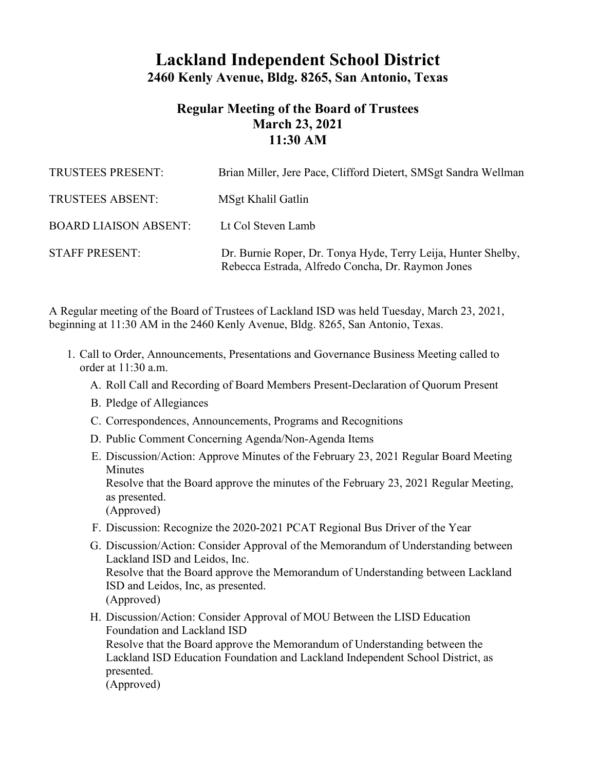## **Lackland Independent School District 2460 Kenly Avenue, Bldg. 8265, San Antonio, Texas**

## **Regular Meeting of the Board of Trustees March 23, 2021 11:30 AM**

| TRUSTEES PRESENT:            | Brian Miller, Jere Pace, Clifford Dietert, SMSgt Sandra Wellman                                                    |
|------------------------------|--------------------------------------------------------------------------------------------------------------------|
| <b>TRUSTEES ABSENT:</b>      | MSgt Khalil Gatlin                                                                                                 |
| <b>BOARD LIAISON ABSENT:</b> | Lt Col Steven Lamb                                                                                                 |
| <b>STAFF PRESENT:</b>        | Dr. Burnie Roper, Dr. Tonya Hyde, Terry Leija, Hunter Shelby,<br>Rebecca Estrada, Alfredo Concha, Dr. Raymon Jones |

A Regular meeting of the Board of Trustees of Lackland ISD was held Tuesday, March 23, 2021, beginning at 11:30 AM in the 2460 Kenly Avenue, Bldg. 8265, San Antonio, Texas.

- 1. Call to Order, Announcements, Presentations and Governance Business Meeting called to order at 11:30 a.m.
	- A. Roll Call and Recording of Board Members Present-Declaration of Quorum Present
	- B. Pledge of Allegiances
	- C. Correspondences, Announcements, Programs and Recognitions
	- D. Public Comment Concerning Agenda/Non-Agenda Items
	- E. Discussion/Action: Approve Minutes of the February 23, 2021 Regular Board Meeting **Minutes** Resolve that the Board approve the minutes of the February 23, 2021 Regular Meeting, as presented. (Approved)
	- F. Discussion: Recognize the 2020-2021 PCAT Regional Bus Driver of the Year
	- G. Discussion/Action: Consider Approval of the Memorandum of Understanding between Lackland ISD and Leidos, Inc. Resolve that the Board approve the Memorandum of Understanding between Lackland ISD and Leidos, Inc, as presented. (Approved)
	- H. Discussion/Action: Consider Approval of MOU Between the LISD Education Foundation and Lackland ISD Resolve that the Board approve the Memorandum of Understanding between the Lackland ISD Education Foundation and Lackland Independent School District, as presented. (Approved)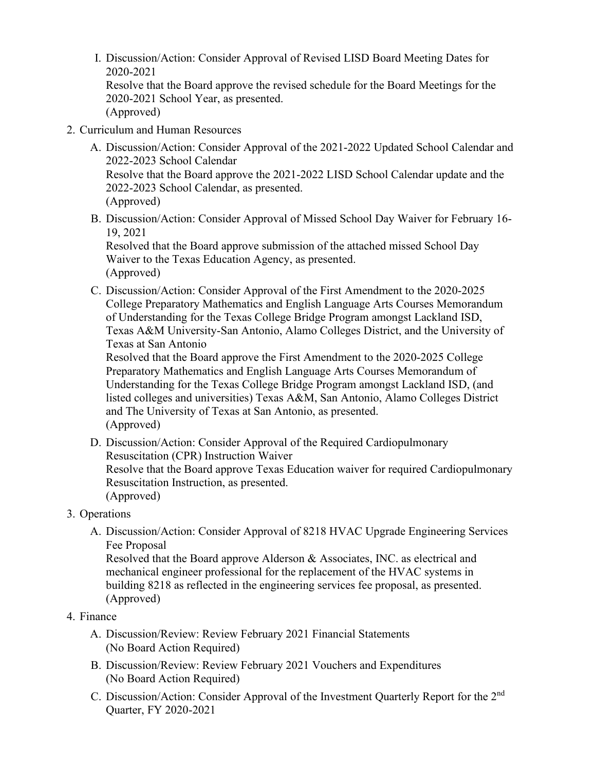I. Discussion/Action: Consider Approval of Revised LISD Board Meeting Dates for 2020-2021

Resolve that the Board approve the revised schedule for the Board Meetings for the 2020-2021 School Year, as presented. (Approved)

- 2. Curriculum and Human Resources
	- A. Discussion/Action: Consider Approval of the 2021-2022 Updated School Calendar and 2022-2023 School Calendar Resolve that the Board approve the 2021-2022 LISD School Calendar update and the 2022-2023 School Calendar, as presented. (Approved)
	- B. Discussion/Action: Consider Approval of Missed School Day Waiver for February 16- 19, 2021

Resolved that the Board approve submission of the attached missed School Day Waiver to the Texas Education Agency, as presented. (Approved)

C. Discussion/Action: Consider Approval of the First Amendment to the 2020-2025 College Preparatory Mathematics and English Language Arts Courses Memorandum of Understanding for the Texas College Bridge Program amongst Lackland ISD, Texas A&M University-San Antonio, Alamo Colleges District, and the University of Texas at San Antonio

Resolved that the Board approve the First Amendment to the 2020-2025 College Preparatory Mathematics and English Language Arts Courses Memorandum of Understanding for the Texas College Bridge Program amongst Lackland ISD, (and listed colleges and universities) Texas A&M, San Antonio, Alamo Colleges District and The University of Texas at San Antonio, as presented. (Approved)

- D. Discussion/Action: Consider Approval of the Required Cardiopulmonary Resuscitation (CPR) Instruction Waiver Resolve that the Board approve Texas Education waiver for required Cardiopulmonary Resuscitation Instruction, as presented. (Approved)
- 3. Operations
	- A. Discussion/Action: Consider Approval of 8218 HVAC Upgrade Engineering Services Fee Proposal

Resolved that the Board approve Alderson & Associates, INC. as electrical and mechanical engineer professional for the replacement of the HVAC systems in building 8218 as reflected in the engineering services fee proposal, as presented. (Approved)

## 4. Finance

- A. Discussion/Review: Review February 2021 Financial Statements (No Board Action Required)
- B. Discussion/Review: Review February 2021 Vouchers and Expenditures (No Board Action Required)
- C. Discussion/Action: Consider Approval of the Investment Quarterly Report for the 2nd Quarter, FY 2020-2021